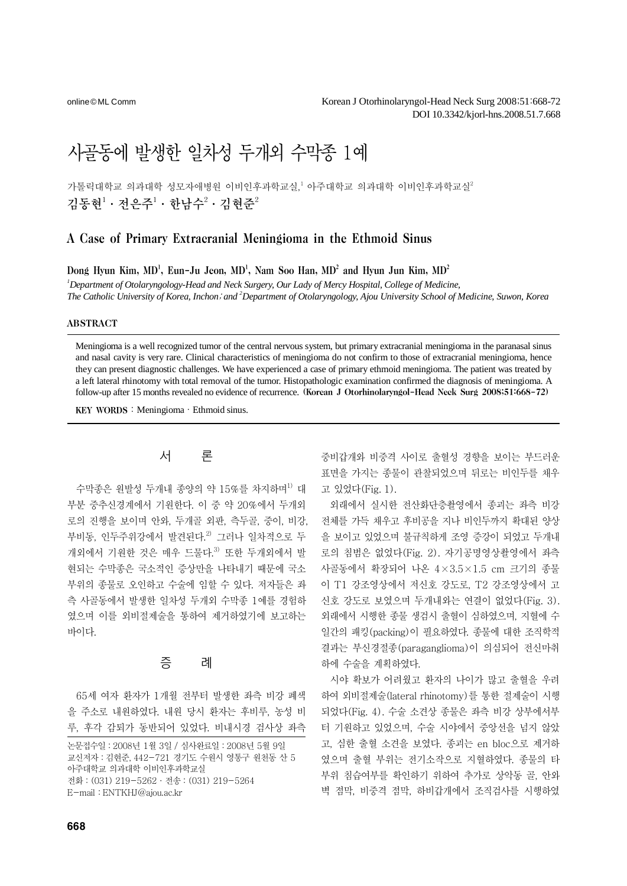online© ML Comm

# 사골동에 발생한 일차성 두개외 수막종 1예

가톨릭대학교 의과대학 성모자애병원 이비인후과학교실,' 아주대학교 의과대학 이비인후과학교실<del>'</del> 김동현 $^1\cdot$  전은주 $^1\cdot$  한남수 $^2\cdot$  김현준 $^2$ 

## A Case of Primary Extracranial Meningioma in the Ethmoid Sinus

Dong Hyun Kim, MD<sup>1</sup>, Eun-Ju Jeon, MD<sup>1</sup>, Nam Soo Han, MD<sup>2</sup> and Hyun Jun Kim, MD<sup>2</sup>

*1 Department of Otolaryngology-Head and Neck Surgery, Our Lady of Mercy Hospital, College of Medicine, The Catholic University of Korea, Inchon*; *and 2 Department of Otolaryngology, Ajou University School of Medicine, Suwon, Korea* 

#### ABSTRACT

Meningioma is a well recognized tumor of the central nervous system, but primary extracranial meningioma in the paranasal sinus and nasal cavity is very rare. Clinical characteristics of meningioma do not confirm to those of extracranial meningioma, hence they can present diagnostic challenges. We have experienced a case of primary ethmoid meningioma. The patient was treated by a left lateral rhinotomy with total removal of the tumor. Histopathologic examination confirmed the diagnosis of meningioma. A follow-up after 15 months revealed no evidence of recurrence. (Korean J Otorhinolaryngol-Head Neck Surg 2008;51:668-72)

KEY WORDS: Meningioma · Ethmoid sinus.

## 서 론

수막종은 원발성 두개내 종양의 약 15%를 차지하며<sup>1)</sup> 대 부분 중추신경계에서 기원한다. 이 중 약 20%에서 두개외 로의 진행을 보이며 안와, 두개골 외판, 측두골, 중이, 비강, 부비동, 인두주위강에서 발견된다.<sup>2)</sup> 그러나 일차적으로 두 개외에서 기워한 것은 매우 드물다.<sup>3)</sup> 또한 두개외에서 발 현되는 수막종은 국소적인 증상만을 나타내기 때문에 국소 부위의 종물로 오인하고 수술에 임할 수 있다. 저자들은 좌 측 사골동에서 발생한 일차성 두개외 수막종 1예를 경험하 였으며 이를 외비절제술을 통하여 제거하였기에 보고하는 바이다.

## 증 례

65세 여자 환자가 1개월 전부터 발생한 좌측 비강 폐색 을 주소로 내원하였다. 내원 당시 환자는 후비루, 농성 비 루, 후각 감퇴가 동반되어 있었다. 비내시경 검사상 좌측 중비갑개와 비중격 사이로 출혈성 경향을 보이는 부드러운 표면을 가지는 종물이 관찰되었으며 뒤로는 비인두를 채우 고 있었다(Fig. 1).

외래에서 실시한 전산화단층촬영에서 종괴는 좌측 비강 전체를 가득 채우고 후비공을 지나 비인두까지 확대된 양상 을 보이고 있었으며 불규칙하게 조영 증강이 되었고 두개내 로의 침범은 없었다(Fig. 2). 자기공명영상촬영에서 좌측 사골동에서 확장되어 나온 4×3.5×1.5 cm 크기의 종물 이 T1 강조영상에서 저신호 강도로, T2 강조영상에서 고 신호 강도로 보였으며 두개내와는 연결이 없었다(Fig. 3). 외래에서 시행한 종물 생검시 출혈이 심하였으며, 지혈에 수 일간의 패킹(packing)이 필요하였다. 종물에 대한 조직학적 결과는 부신경절종(paraganglioma)이 의심되어 전신마취 하에 수술을 계획하였다.

시야 확보가 어려웠고 환자의 나이가 많고 출혈을 우려 하여 외비절제술(lateral rhinotomy)를 통한 절제술이 시행 되었다(Fig. 4). 수술 소견상 종물은 좌측 비강 상부에서부 터 기원하고 있었으며, 수술 시야에서 중앙선을 넘지 않았 고, 심한 출혈 소견을 보였다. 종괴는 en bloc으로 제거하 였으며 출혈 부위는 전기소작으로 지혈하였다. 종물의 타 부위 침습여부를 확인하기 위하여 추가로 상악동 골, 안와 벽 점막, 비중격 점막, 하비갑개에서 조직검사를 시행하였

논문접수일:2008년 1월 3일 / 심사완료일:2008년 5월 9일 교신저자:김현준, 442-721 경기도 수원시 영통구 원천동 산 5 아주대학교 의과대학 이비인후과학교실 전화:(031) 219-5262·전송:(031) 219-5264 E-mail:ENTKHJ@ajou.ac.kr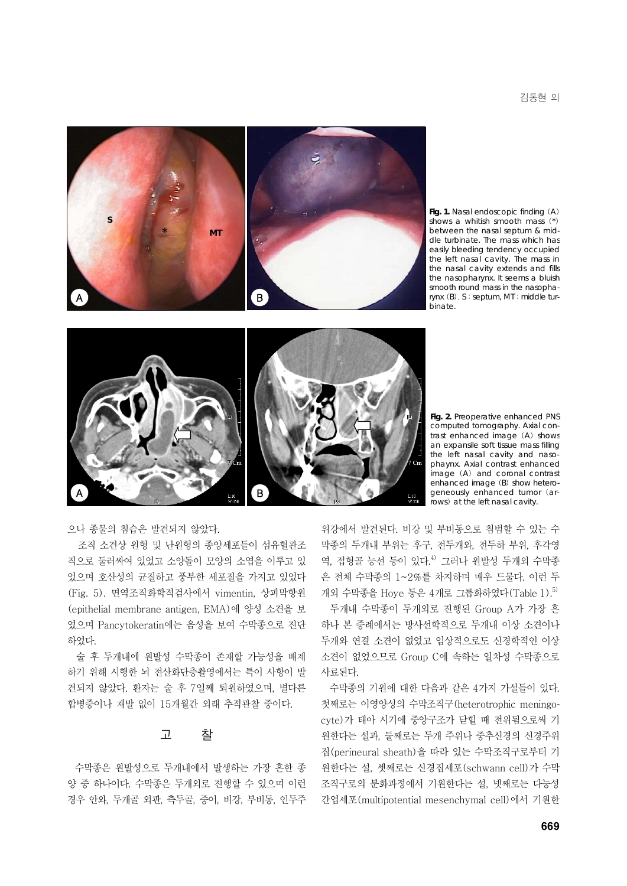

**Fig. 1.** Nasal endoscopic finding (A) shows a whitish smooth mass (\*) between the nasal septum & middle turbinate. The mass which has easily bleeding tendency occupied the left nasal cavity. The mass in the nasal cavity extends and fills the nasopharynx. It seems a bluish smooth round mass in the nasopharynx (B). S:septum, MT:middle turbinate.



**Fig. 2.** Preoperative enhanced PNS computed tomography. Axial contrast enhanced image (A) shows an expansile soft tissue mass filling the left nasal cavity and nasophaynx. Axial contrast enhanced image (A) and coronal contrast enhanced image (B) show heterogeneously enhanced tumor (arrows) at the left nasal cavity.

으나 종물의 침습은 발견되지 않았다.

조직 소견상 원형 및 난원형의 종양세포들이 섬유혈관조 직으로 둘러싸여 있었고 소양돌이 모양의 소엽을 이루고 있 었으며 호산성의 균질하고 풍부한 세포질을 가지고 있었다 (Fig. 5). 면역조직화학적검사에서 vimentin, 상피막항원 (epithelial membrane antigen, EMA)에 양성 소견을 보 였으며 Pancytokeratin에는 음성을 보여 수막종으로 진단 하였다.

술 후 두개내에 원발성 수막종이 존재할 가능성을 배제 하기 위해 시행한 뇌 전산화단층촬영에서는 특이 사항이 발 견되지 않았다. 환자는 술 후 7일째 퇴원하였으며, 별다른 합병증이나 재발 없이 15개월간 외래 추적관찰 중이다.

### 고 찰

수막종은 원발성으로 두개내에서 발생하는 가장 흔한 종 양 중 하나이다. 수막종은 두개외로 진행할 수 있으며 이런 경우 안와, 두개골 외판, 측두골, 중이, 비강, 부비동, 인두주

위강에서 발견된다. 비강 및 부비동으로 침범할 수 있는 수 막종의 두개내 부위는 후구, 전두개와, 전두하 부위, 후각영 역, 접형골 능선 등이 있다.<sup>4)</sup> 그러나 원발성 두개외 수막종 은 전체 수막종의 1~2%를 차지하며 매우 드물다. 이런 두  $n$ 외 수막종을 Hoye 등은 4개로 그룹화하였다 $(Table 1)$ .<sup>5)</sup>

두개내 수막종이 두개외로 진행된 Group A가 가장 흔 하나 본 증례에서는 방사선학적으로 두개내 이상 소견이나 두개와 연결 소견이 없었고 임상적으로도 신경학적인 이상 소견이 없었으므로 Group C에 속하는 일차성 수막종으로 사료된다.

수막종의 기원에 대한 다음과 같은 4가지 가설들이 있다. 첫째로는 이영양성의 수막조직구(heterotrophic meningocyte)가 태아 시기에 중앙구조가 닫힐 때 전위됨으로써 기 원한다는 설과, 둘째로는 두개 주위나 중추신경의 신경주위 집(perineural sheath)을 따라 있는 수막조직구로부터 기 원한다는 설, 셋째로는 신경집세포(schwann cell)가 수막 조직구로의 분화과정에서 기원한다는 설, 넷째로는 다능성 간엽세포(multipotential mesenchymal cell)에서 기원한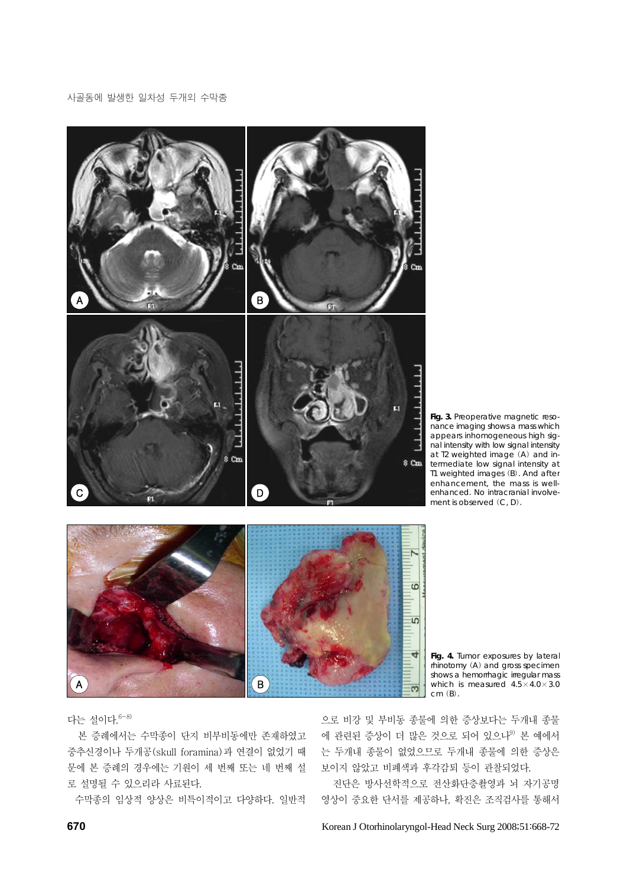

Fig. 3. Preoperative magnetic resonance imaging shows a mass which appears inhomogeneous high signal intensity with low signal intensity at T2 weighted image (A) and intermediate low signal intensity at T1 weighted images (B). And after enhancement, the mass is wellenhanced. No intracranial involvement is observed (C, D).



**Fig. 4.** Tumor exposures by lateral rhinotomy (A) and gross specimen shows a hemorrhagic irregular mass which is measured  $4.5 \times 4.0 \times 3.0$ cm (B).

다는 설이다.6-8)

본 증례에서는 수막종이 단지 비부비동에만 존재하였고 중추신경이나 두개공(skull foramina)과 연결이 없었기 때 문에 본 증례의 경우에는 기원이 세 번째 또는 네 번째 설 로 설명될 수 있으리라 사료된다.

수막종의 임상적 양상은 비특이적이고 다양하다. 일반적

으로 비강 및 부비동 종물에 의한 증상보다는 두개내 종물 에 관련된 증상이 더 많은 것으로 되어 있으나<sup>9)</sup> 본 예에서 는 두개내 종물이 없었으므로 두개내 종물에 의한 증상은 보이지 않았고 비폐색과 후각감퇴 등이 관찰되었다.

 진단은 방사선학적으로 전산화단층촬영과 뇌 자기공명 영상이 중요한 단서를 제공하나, 확진은 조직검사를 통해서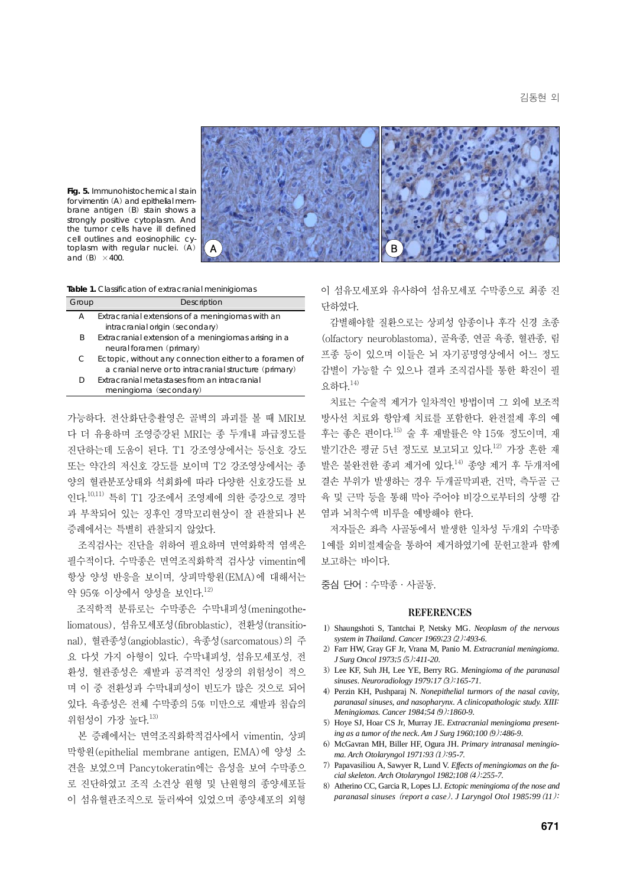김동현 외



**Fig. 5.** Immunohistochemical stain for vimentin (A) and epithelial membrane antigen (B) stain shows a strongly positive cytoplasm. And the tumor cells have ill defined cell outlines and eosinophilic cytoplasm with regular nuclei. (A) and  $(B) \times 400$ .

**Table 1.** Classification of extracranial meninigiomas

| Group | Description                                            |
|-------|--------------------------------------------------------|
| А     | Extracranial extensions of a meningiomas with an       |
|       | intracranial origin (secondary)                        |
| B     | Extracranial extension of a meningiomas arising in a   |
|       | neural foramen (primary)                               |
| C     | Ectopic, without any connection either to a foramen of |
|       | a cranial nerve or to intracranial structure (primary) |
| D     | Extracranial metastases from an intracranial           |
|       | meningioma (secondary)                                 |

가능하다. 전산화단층촬영은 골벽의 파괴를 볼 때 MRI보 다 더 유용하며 조영증강된 MRI는 종 두개내 파급정도를 진단하는데 도움이 된다. T1 강조영상에서는 등신호 강도 또는 약간의 저신호 강도를 보이며 T2 강조영상에서는 종 양의 혈관분포상태와 석회화에 따라 다양한 신호강도를 보 인다.10,11) 특히 T1 강조에서 조영제에 의한 증강으로 경막 과 부착되어 있는 징후인 경막꼬리현상이 잘 관찰되나 본 증례에서는 특별히 관찰되지 않았다.

조직검사는 진단을 위하여 필요하며 면역화학적 염색은 필수적이다. 수막종은 면역조직화학적 검사상 vimentin에 항상 양성 반응을 보이며, 상피막항원(EMA)에 대해서는 약 95% 이상에서 양성을 보인다.12)

조직학적 분류로는 수막종은 수막내피성(meningotheliomatous), 섬유모세포성(fibroblastic), 전환성(transitional), 혈관종성(angioblastic), 육종성(sarcomatous)의 주 요 다섯 가지 아형이 있다. 수막내피성, 섬유모세포성, 전 환성, 혈관종성은 재발과 공격적인 성장의 위험성이 적으 며 이 중 전환성과 수막내피성이 빈도가 많은 것으로 되어 있다. 육종성은 전체 수막종의 5% 미만으로 재발과 침습의 위험성이 가장 높다.13)

본 증례에서는 면역조직화학적검사에서 vimentin, 상피 막항원(epithelial membrane antigen, EMA)에 양성 소 견을 보였으며 Pancytokeratin에는 음성을 보여 수막종으 로 진단하였고 조직 소견상 원형 및 난원형의 종양세포들 이 섬유혈관조직으로 둘러싸여 있었으며 종양세포의 외형 이 섬유모세포와 유사하여 섬유모세포 수막종으로 최종 진 단하였다.

감별해야할 질환으로는 상피성 암종이나 후각 신경 초종 (olfactory neuroblastoma), 골육종, 연골 육종, 혈관종, 림 프종 등이 있으며 이들은 뇌 자기공명영상에서 어느 정도 감별이 가능할 수 있으나 결과 조직검사를 통한 확진이 필 요하다.14)

치료는 수술적 제거가 일차적인 방법이며 그 외에 보조적 방사선 치료와 항암제 치료를 포함한다. 완전절제 후의 예 후는 좋은 편이다.15) 술 후 재발률은 약 15% 정도이며, 재 발기간은 평균 5년 정도로 보고되고 있다.12) 가장 흔한 재 발은 불완전한 종괴 제거에 있다.14) 종양 제거 후 두개저에 결손 부위가 발생하는 경우 두개골막피판, 건막, 측두골 근 육 및 근막 등을 통해 막아 주어야 비강으로부터의 상행 감 염과 뇌척수액 비루을 예방해야 한다.

저자들은 좌측 사골동에서 발생한 일차성 두개외 수막종 1예를 외비절제술을 통하여 제거하였기에 문헌고찰과 함께 보고하는 바이다.

중심 단어:수막종·사골동.

#### REFERENCES

- 1) Shaungshoti S, Tantchai P, Netsky MG. *Neoplasm of the nervous system in Thailand. Cancer 1969;23*(*2*)*:493-6.*
- 2) Farr HW, Gray GF Jr, Vrana M, Panio M. *Extracranial meningioma. J Surg Oncol 1973;5*(*5*)*:411-20.*
- 3) Lee KF, Suh JH, Lee YE, Berry RG. *Meningioma of the paranasal sinuses. Neuroradiology 1979;17*(*3*)*:165-71.*
- 4) Perzin KH, Pushparaj N. *Nonepithelial turmors of the nasal cavity, paranasal sinuses, and nasopharynx. A clinicopathologic study. XIII: Meningiomas. Cancer 1984;54*(*9*)*:1860-9.*
- 5) Hoye SJ, Hoar CS Jr, Murray JE. *Extracranial meningioma presenting as a tumor of the neck. Am J Surg 1960;100*(*9*)*:486-9.*
- 6) McGavran MH, Biller HF, Ogura JH. *Primary intranasal meningioma. Arch Otolaryngol 1971;93*(*1*)*:95-7.*
- 7) Papavasiliou A, Sawyer R, Lund V. *Effects of meningiomas on the facial skeleton. Arch Otolaryngol 1982;108*(*4*)*:255-7.*
- 8) Atherino CC, Garcia R, Lopes LJ. *Ectopic meningioma of the nose and paranasal sinuses* (*report a case*)*. J Laryngol Otol 1985;99*(*11*)*:*